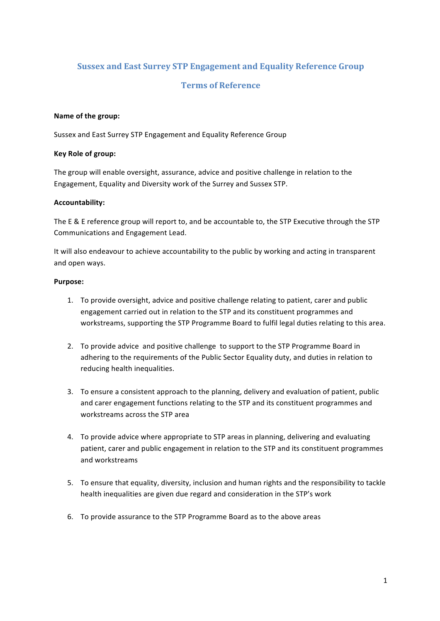# **Sussex and East Surrey STP Engagement and Equality Reference Group**

## **Terms of Reference**

### **Name of the group:**

Sussex and East Surrey STP Engagement and Equality Reference Group

### **Key Role of group:**

The group will enable oversight, assurance, advice and positive challenge in relation to the Engagement, Equality and Diversity work of the Surrey and Sussex STP.

### **Accountability:**

The E & E reference group will report to, and be accountable to, the STP Executive through the STP Communications and Engagement Lead.

It will also endeavour to achieve accountability to the public by working and acting in transparent and open ways.

### **Purpose:**

- 1. To provide oversight, advice and positive challenge relating to patient, carer and public engagement carried out in relation to the STP and its constituent programmes and workstreams, supporting the STP Programme Board to fulfil legal duties relating to this area.
- 2. To provide advice and positive challenge to support to the STP Programme Board in adhering to the requirements of the Public Sector Equality duty, and duties in relation to reducing health inequalities.
- 3. To ensure a consistent approach to the planning, delivery and evaluation of patient, public and carer engagement functions relating to the STP and its constituent programmes and workstreams across the STP area
- 4. To provide advice where appropriate to STP areas in planning, delivering and evaluating patient, carer and public engagement in relation to the STP and its constituent programmes and workstreams
- 5. To ensure that equality, diversity, inclusion and human rights and the responsibility to tackle health inequalities are given due regard and consideration in the STP's work
- 6. To provide assurance to the STP Programme Board as to the above areas